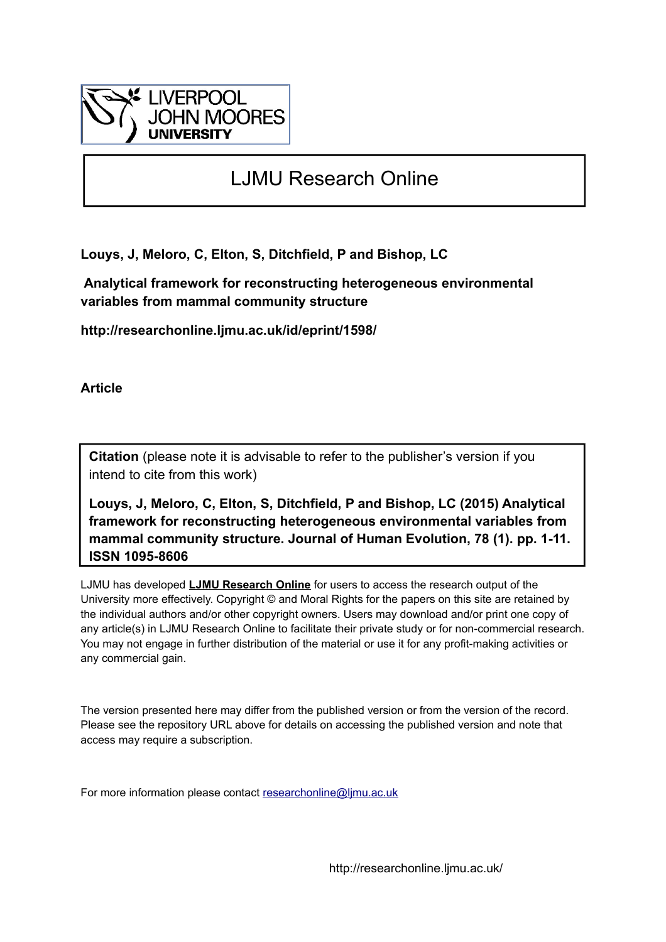

## LJMU Research Online

**Louys, J, Meloro, C, Elton, S, Ditchfield, P and Bishop, LC**

 **Analytical framework for reconstructing heterogeneous environmental variables from mammal community structure**

**http://researchonline.ljmu.ac.uk/id/eprint/1598/**

**Article**

**Citation** (please note it is advisable to refer to the publisher's version if you intend to cite from this work)

**Louys, J, Meloro, C, Elton, S, Ditchfield, P and Bishop, LC (2015) Analytical framework for reconstructing heterogeneous environmental variables from mammal community structure. Journal of Human Evolution, 78 (1). pp. 1-11. ISSN 1095-8606** 

LJMU has developed **[LJMU Research Online](http://researchonline.ljmu.ac.uk/)** for users to access the research output of the University more effectively. Copyright © and Moral Rights for the papers on this site are retained by the individual authors and/or other copyright owners. Users may download and/or print one copy of any article(s) in LJMU Research Online to facilitate their private study or for non-commercial research. You may not engage in further distribution of the material or use it for any profit-making activities or any commercial gain.

The version presented here may differ from the published version or from the version of the record. Please see the repository URL above for details on accessing the published version and note that access may require a subscription.

For more information please contact [researchonline@ljmu.ac.uk](mailto:researchonline@ljmu.ac.uk)

http://researchonline.ljmu.ac.uk/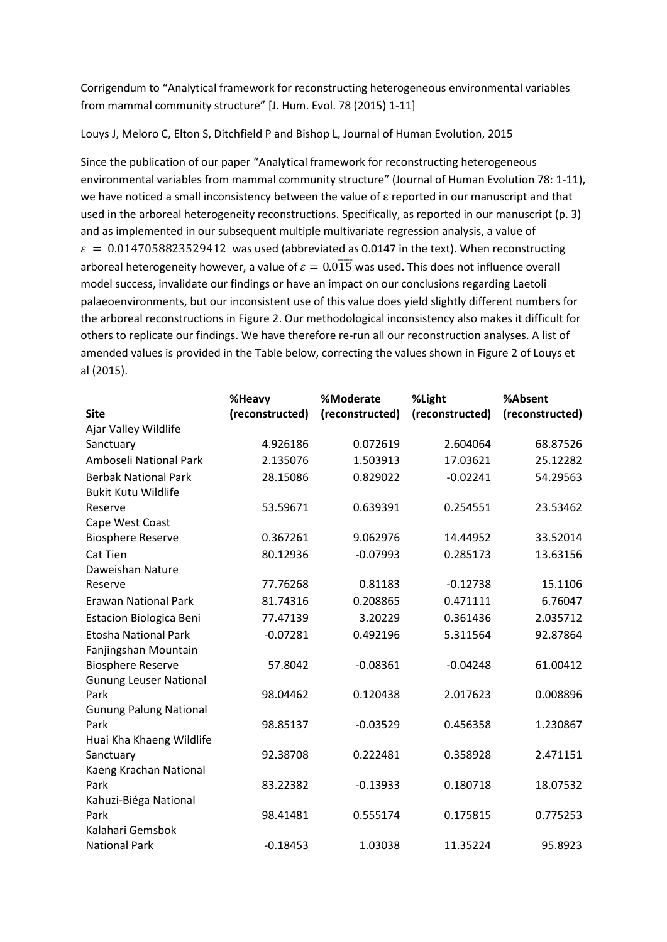Corrigendum to "Analytical framework for reconstructing heterogeneous environmental variables from mammal community structure" [J. Hum. Evol. 78 (2015) 1-11]

Louys J, Meloro C, Elton S, Ditchfield P and Bishop L, Journal of Human Evolution, 2015

Since the publication of our paper "Analytical framework for reconstructing heterogeneous environmental variables from mammal community structure" (Journal of Human Evolution 78: 1-11), we have noticed a small inconsistency between the value of ε reported in our manuscript and that used in the arboreal heterogeneity reconstructions. Specifically, as reported in our manuscript (p. 3) and as implemented in our subsequent multiple multivariate regression analysis, a value of  $\varepsilon = 0.0147058823529412$  was used (abbreviated as 0.0147 in the text). When reconstructing arboreal heterogeneity however, a value of  $\varepsilon = 0.015$  was used. This does not influence overall model success, invalidate our findings or have an impact on our conclusions regarding Laetoli palaeoenvironments, but our inconsistent use of this value does yield slightly different numbers for the arboreal reconstructions in Figure 2. Our methodological inconsistency also makes it difficult for others to replicate our findings. We have therefore re-run all our reconstruction analyses. A list of amended values is provided in the Table below, correcting the values shown in Figure 2 of Louys et al (2015).

|                                | %Heavy          | %Moderate       | %Light          | %Absent         |
|--------------------------------|-----------------|-----------------|-----------------|-----------------|
| <b>Site</b>                    | (reconstructed) | (reconstructed) | (reconstructed) | (reconstructed) |
| Ajar Valley Wildlife           |                 |                 |                 |                 |
| Sanctuary                      | 4.926186        | 0.072619        | 2.604064        | 68.87526        |
| Amboseli National Park         | 2.135076        | 1.503913        | 17.03621        | 25.12282        |
| <b>Berbak National Park</b>    | 28.15086        | 0.829022        | $-0.02241$      | 54.29563        |
| <b>Bukit Kutu Wildlife</b>     |                 |                 |                 |                 |
| Reserve                        | 53.59671        | 0.639391        | 0.254551        | 23.53462        |
| Cape West Coast                |                 |                 |                 |                 |
| <b>Biosphere Reserve</b>       | 0.367261        | 9.062976        | 14.44952        | 33.52014        |
| <b>Cat Tien</b>                | 80.12936        | $-0.07993$      | 0.285173        | 13.63156        |
| Daweishan Nature               |                 |                 |                 |                 |
| Reserve                        | 77.76268        | 0.81183         | $-0.12738$      | 15.1106         |
| <b>Erawan National Park</b>    | 81.74316        | 0.208865        | 0.471111        | 6.76047         |
| <b>Estacion Biologica Beni</b> | 77.47139        | 3.20229         | 0.361436        | 2.035712        |
| <b>Etosha National Park</b>    | $-0.07281$      | 0.492196        | 5.311564        | 92.87864        |
| Fanjingshan Mountain           |                 |                 |                 |                 |
| <b>Biosphere Reserve</b>       | 57.8042         | $-0.08361$      | $-0.04248$      | 61.00412        |
| <b>Gunung Leuser National</b>  |                 |                 |                 |                 |
| Park                           | 98.04462        | 0.120438        | 2.017623        | 0.008896        |
| <b>Gunung Palung National</b>  |                 |                 |                 |                 |
| Park                           | 98.85137        | $-0.03529$      | 0.456358        | 1.230867        |
| Huai Kha Khaeng Wildlife       |                 |                 |                 |                 |
| Sanctuary                      | 92.38708        | 0.222481        | 0.358928        | 2.471151        |
| Kaeng Krachan National         |                 |                 |                 |                 |
| Park                           | 83.22382        | $-0.13933$      | 0.180718        | 18.07532        |
| Kahuzi-Biéga National          |                 |                 |                 |                 |
| Park                           | 98.41481        | 0.555174        | 0.175815        | 0.775253        |
| Kalahari Gemsbok               |                 |                 |                 |                 |
| <b>National Park</b>           | $-0.18453$      | 1.03038         | 11.35224        | 95.8923         |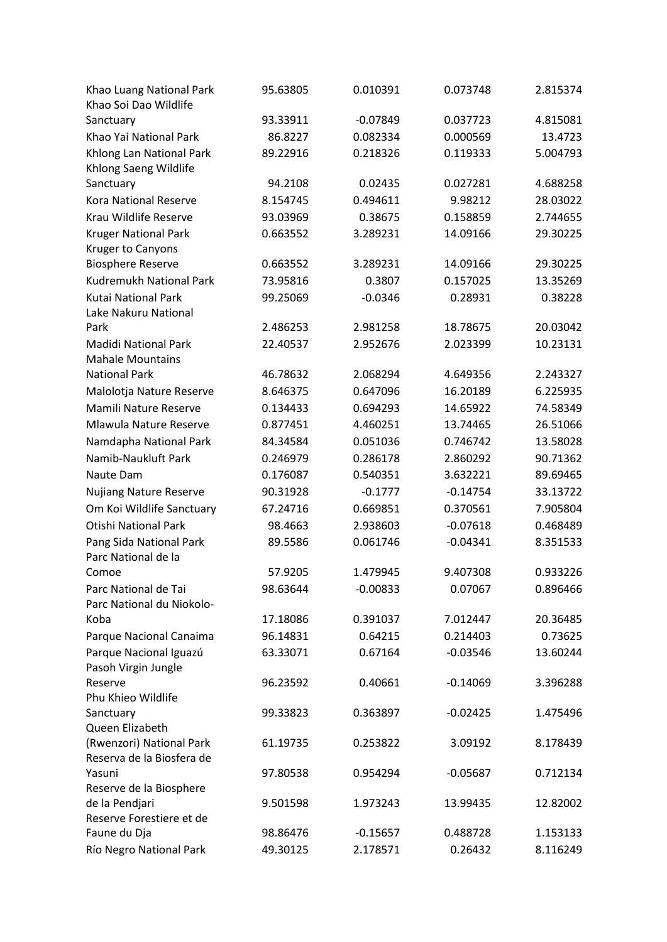| Khao Luang National Park<br>Khao Soi Dao Wildlife | 95.63805 | 0.010391   | 0.073748   | 2.815374 |
|---------------------------------------------------|----------|------------|------------|----------|
| Sanctuary                                         | 93.33911 | $-0.07849$ | 0.037723   | 4.815081 |
| Khao Yai National Park                            | 86.8227  | 0.082334   | 0.000569   | 13.4723  |
| Khlong Lan National Park<br>Khlong Saeng Wildlife | 89.22916 | 0.218326   | 0.119333   | 5.004793 |
| Sanctuary                                         | 94.2108  | 0.02435    | 0.027281   | 4.688258 |
| Kora National Reserve                             | 8.154745 | 0.494611   | 9.98212    | 28.03022 |
| Krau Wildlife Reserve                             | 93.03969 | 0.38675    | 0.158859   | 2.744655 |
| <b>Kruger National Park</b>                       | 0.663552 | 3.289231   | 14.09166   | 29.30225 |
| Kruger to Canyons                                 |          |            |            |          |
| <b>Biosphere Reserve</b>                          | 0.663552 | 3.289231   | 14.09166   | 29.30225 |
| Kudremukh National Park                           | 73.95816 | 0.3807     | 0.157025   | 13.35269 |
| <b>Kutai National Park</b>                        | 99.25069 | $-0.0346$  | 0.28931    | 0.38228  |
| Lake Nakuru National                              |          |            |            |          |
| Park                                              | 2.486253 | 2.981258   | 18.78675   | 20.03042 |
| <b>Madidi National Park</b>                       | 22.40537 | 2.952676   | 2.023399   | 10.23131 |
| <b>Mahale Mountains</b>                           |          |            |            |          |
| <b>National Park</b>                              | 46.78632 | 2.068294   | 4.649356   | 2.243327 |
| Malolotja Nature Reserve                          | 8.646375 | 0.647096   | 16.20189   | 6.225935 |
| Mamili Nature Reserve                             | 0.134433 | 0.694293   | 14.65922   | 74.58349 |
| Mlawula Nature Reserve                            | 0.877451 | 4.460251   | 13.74465   | 26.51066 |
| Namdapha National Park                            | 84.34584 | 0.051036   | 0.746742   | 13.58028 |
| Namib-Naukluft Park                               | 0.246979 | 0.286178   | 2.860292   | 90.71362 |
| Naute Dam                                         | 0.176087 | 0.540351   | 3.632221   | 89.69465 |
| <b>Nujiang Nature Reserve</b>                     | 90.31928 | $-0.1777$  | $-0.14754$ | 33.13722 |
| Om Koi Wildlife Sanctuary                         | 67.24716 | 0.669851   | 0.370561   | 7.905804 |
| <b>Otishi National Park</b>                       | 98.4663  | 2.938603   | $-0.07618$ | 0.468489 |
|                                                   | 89.5586  |            |            |          |
| Pang Sida National Park<br>Parc National de la    |          | 0.061746   | $-0.04341$ | 8.351533 |
| Comoe                                             | 57.9205  | 1.479945   | 9.407308   | 0.933226 |
| Parc National de Tai<br>Parc National du Niokolo- | 98.63644 | $-0.00833$ | 0.07067    | 0.896466 |
| Koba                                              | 17.18086 | 0.391037   | 7.012447   | 20.36485 |
| Parque Nacional Canaima                           | 96.14831 | 0.64215    | 0.214403   | 0.73625  |
| Parque Nacional Iguazú<br>Pasoh Virgin Jungle     | 63.33071 | 0.67164    | $-0.03546$ | 13.60244 |
| Reserve                                           | 96.23592 | 0.40661    | $-0.14069$ | 3.396288 |
| Phu Khieo Wildlife                                |          |            |            |          |
| Sanctuary                                         | 99.33823 | 0.363897   | $-0.02425$ | 1.475496 |
| Queen Elizabeth                                   |          |            |            |          |
| (Rwenzori) National Park                          | 61.19735 | 0.253822   | 3.09192    | 8.178439 |
| Reserva de la Biosfera de                         |          |            |            |          |
| Yasuni                                            | 97.80538 | 0.954294   | $-0.05687$ | 0.712134 |
| Reserve de la Biosphere                           |          |            |            |          |
| de la Pendjari                                    | 9.501598 | 1.973243   | 13.99435   | 12.82002 |
| Reserve Forestiere et de                          |          |            |            |          |
| Faune du Dja                                      | 98.86476 | $-0.15657$ | 0.488728   | 1.153133 |
| Río Negro National Park                           | 49.30125 | 2.178571   | 0.26432    | 8.116249 |